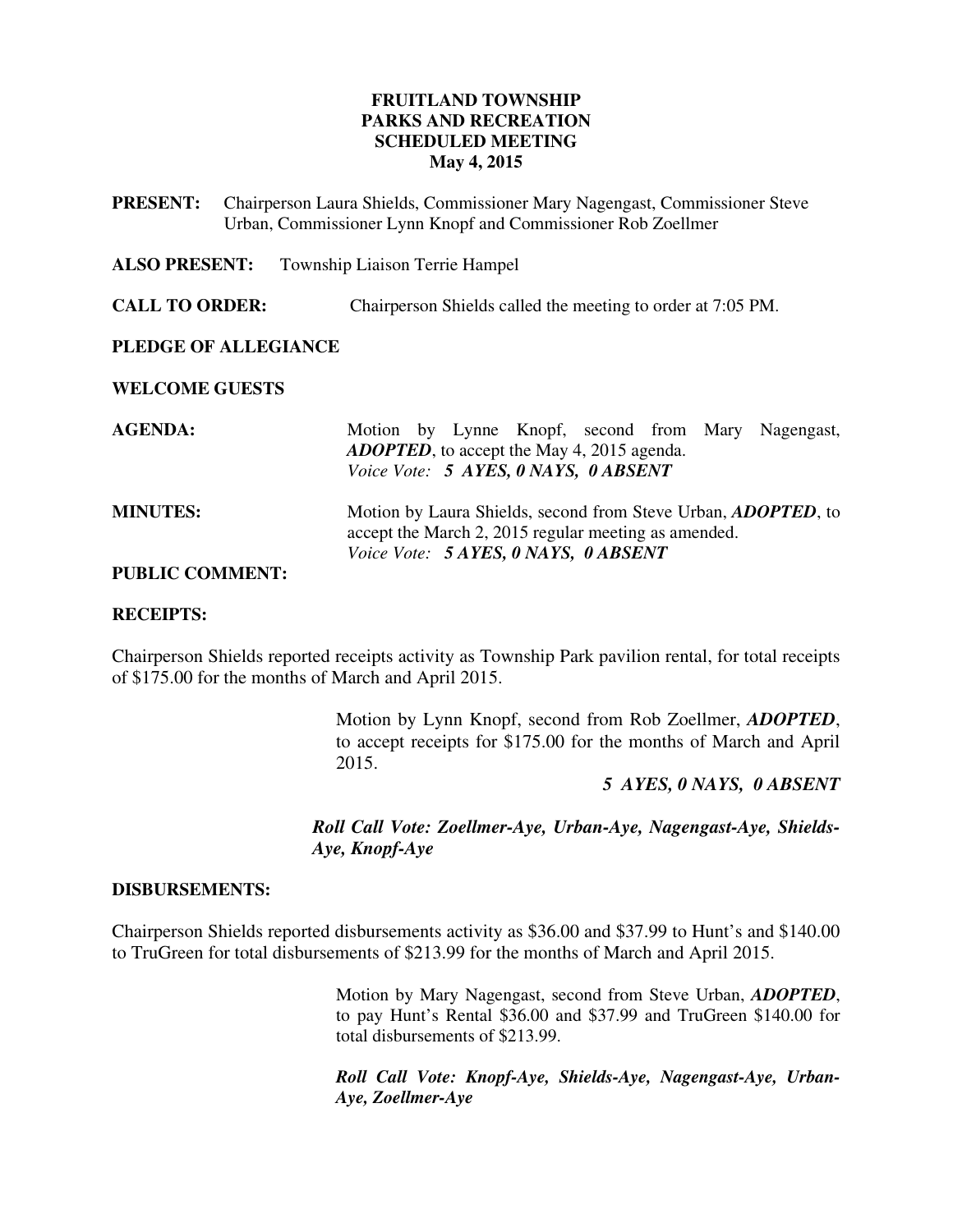## **FRUITLAND TOWNSHIP PARKS AND RECREATION SCHEDULED MEETING May 4, 2015**

**PRESENT:** Chairperson Laura Shields, Commissioner Mary Nagengast, Commissioner Steve Urban, Commissioner Lynn Knopf and Commissioner Rob Zoellmer

**ALSO PRESENT:** Township Liaison Terrie Hampel

**CALL TO ORDER:** Chairperson Shields called the meeting to order at 7:05 PM.

## **PLEDGE OF ALLEGIANCE**

#### **WELCOME GUESTS**

| <b>AGENDA:</b>         | Motion by Lynne Knopf, second from Mary Nagengast,<br><b>ADOPTED</b> , to accept the May 4, 2015 agenda.<br>Voice Vote: 5 AYES, 0 NAYS, 0 ABSENT                      |
|------------------------|-----------------------------------------------------------------------------------------------------------------------------------------------------------------------|
| <b>MINUTES:</b>        | Motion by Laura Shields, second from Steve Urban, <i>ADOPTED</i> , to<br>accept the March 2, 2015 regular meeting as amended.<br>Voice Vote: 5 AYES, 0 NAYS, 0 ABSENT |
| <b>PUBLIC COMMENT:</b> |                                                                                                                                                                       |

## **RECEIPTS:**

Chairperson Shields reported receipts activity as Township Park pavilion rental, for total receipts of \$175.00 for the months of March and April 2015.

> Motion by Lynn Knopf, second from Rob Zoellmer, *ADOPTED*, to accept receipts for \$175.00 for the months of March and April 2015.

> > *5 AYES, 0 NAYS, 0 ABSENT*

*Roll Call Vote: Zoellmer-Aye, Urban-Aye, Nagengast-Aye, Shields-Aye, Knopf-Aye* 

### **DISBURSEMENTS:**

Chairperson Shields reported disbursements activity as \$36.00 and \$37.99 to Hunt's and \$140.00 to TruGreen for total disbursements of \$213.99 for the months of March and April 2015.

> Motion by Mary Nagengast, second from Steve Urban, *ADOPTED*, to pay Hunt's Rental \$36.00 and \$37.99 and TruGreen \$140.00 for total disbursements of \$213.99.

> *Roll Call Vote: Knopf-Aye, Shields-Aye, Nagengast-Aye, Urban-Aye, Zoellmer-Aye*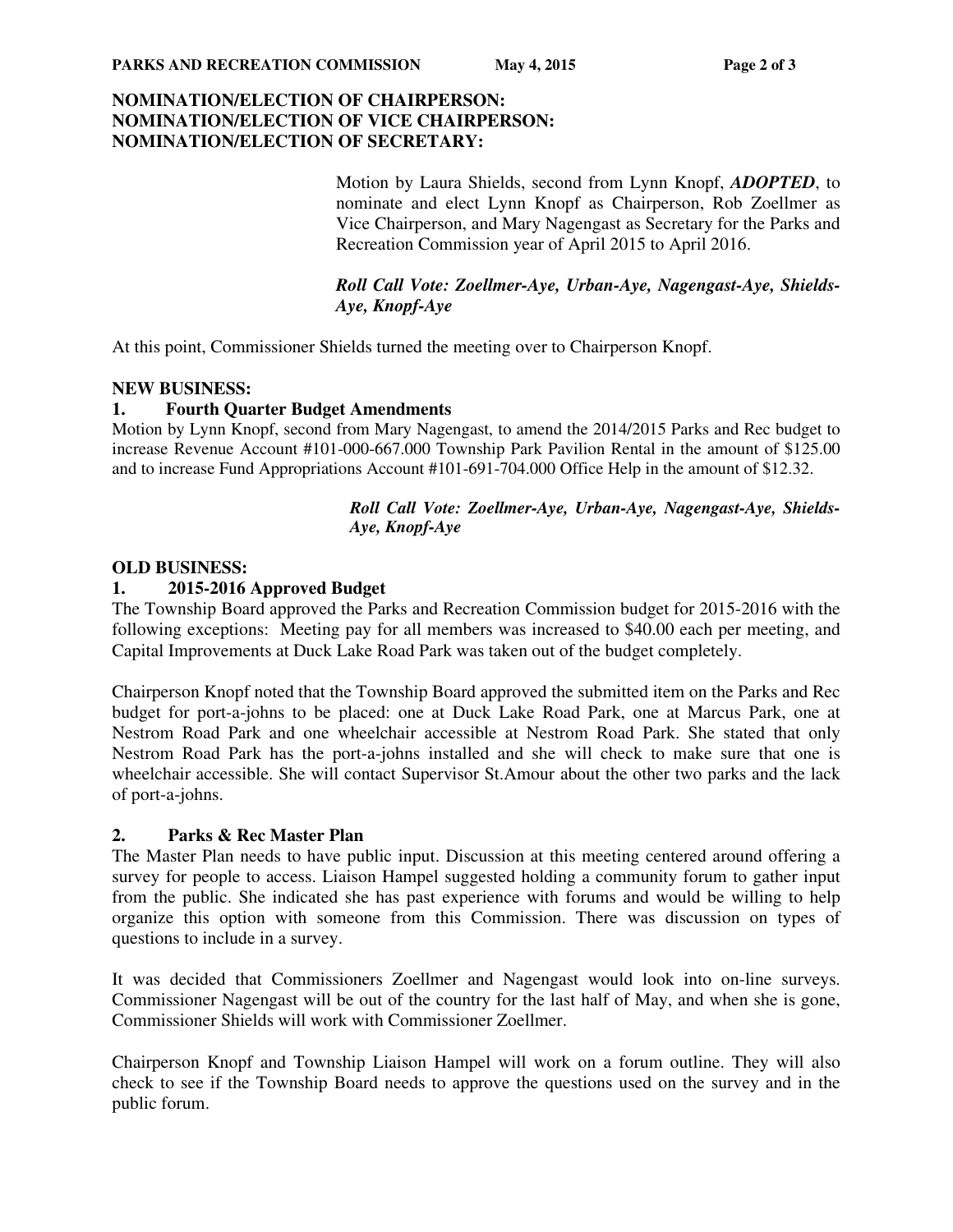# **NOMINATION/ELECTION OF CHAIRPERSON: NOMINATION/ELECTION OF VICE CHAIRPERSON: NOMINATION/ELECTION OF SECRETARY:**

Motion by Laura Shields, second from Lynn Knopf, *ADOPTED*, to nominate and elect Lynn Knopf as Chairperson, Rob Zoellmer as Vice Chairperson, and Mary Nagengast as Secretary for the Parks and Recreation Commission year of April 2015 to April 2016.

*Roll Call Vote: Zoellmer-Aye, Urban-Aye, Nagengast-Aye, Shields-Aye, Knopf-Aye* 

At this point, Commissioner Shields turned the meeting over to Chairperson Knopf.

## **NEW BUSINESS:**

## **1. Fourth Quarter Budget Amendments**

Motion by Lynn Knopf, second from Mary Nagengast, to amend the 2014/2015 Parks and Rec budget to increase Revenue Account #101-000-667.000 Township Park Pavilion Rental in the amount of \$125.00 and to increase Fund Appropriations Account #101-691-704.000 Office Help in the amount of \$12.32.

### *Roll Call Vote: Zoellmer-Aye, Urban-Aye, Nagengast-Aye, Shields-Aye, Knopf-Aye*

## **OLD BUSINESS:**

## **1. 2015-2016 Approved Budget**

The Township Board approved the Parks and Recreation Commission budget for 2015-2016 with the following exceptions: Meeting pay for all members was increased to \$40.00 each per meeting, and Capital Improvements at Duck Lake Road Park was taken out of the budget completely.

Chairperson Knopf noted that the Township Board approved the submitted item on the Parks and Rec budget for port-a-johns to be placed: one at Duck Lake Road Park, one at Marcus Park, one at Nestrom Road Park and one wheelchair accessible at Nestrom Road Park. She stated that only Nestrom Road Park has the port-a-johns installed and she will check to make sure that one is wheelchair accessible. She will contact Supervisor St.Amour about the other two parks and the lack of port-a-johns.

#### **2. Parks & Rec Master Plan**

The Master Plan needs to have public input. Discussion at this meeting centered around offering a survey for people to access. Liaison Hampel suggested holding a community forum to gather input from the public. She indicated she has past experience with forums and would be willing to help organize this option with someone from this Commission. There was discussion on types of questions to include in a survey.

It was decided that Commissioners Zoellmer and Nagengast would look into on-line surveys. Commissioner Nagengast will be out of the country for the last half of May, and when she is gone, Commissioner Shields will work with Commissioner Zoellmer.

Chairperson Knopf and Township Liaison Hampel will work on a forum outline. They will also check to see if the Township Board needs to approve the questions used on the survey and in the public forum.